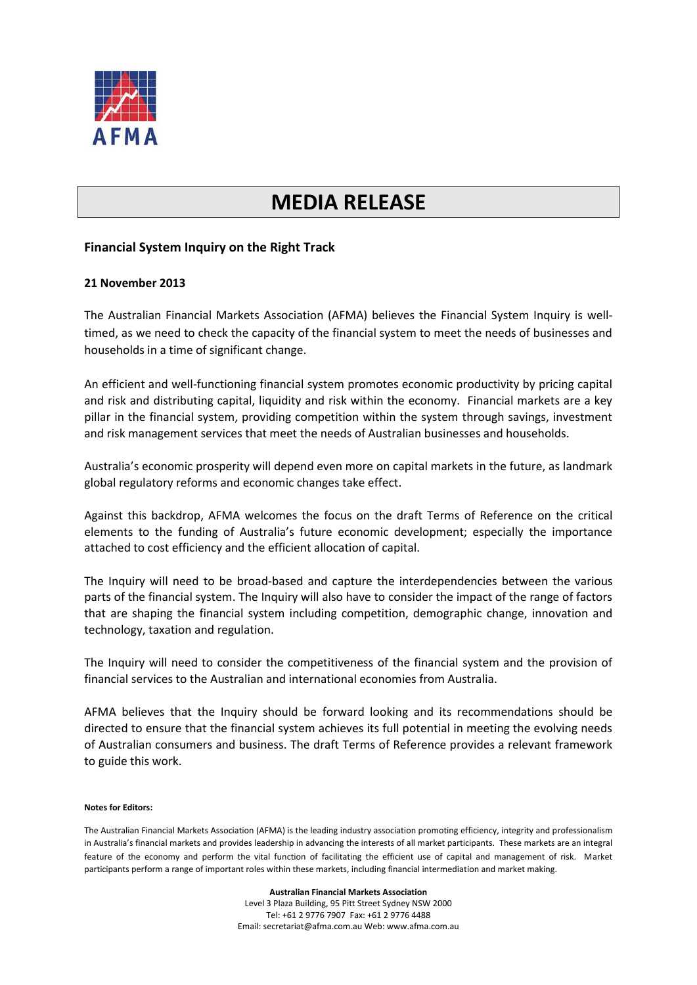

## **MEDIA RELEASE**

## **Financial System Inquiry on the Right Track**

## **21 November 2013**

The Australian Financial Markets Association (AFMA) believes the Financial System Inquiry is welltimed, as we need to check the capacity of the financial system to meet the needs of businesses and households in a time of significant change.

An efficient and well-functioning financial system promotes economic productivity by pricing capital and risk and distributing capital, liquidity and risk within the economy. Financial markets are a key pillar in the financial system, providing competition within the system through savings, investment and risk management services that meet the needs of Australian businesses and households.

Australia's economic prosperity will depend even more on capital markets in the future, as landmark global regulatory reforms and economic changes take effect.

Against this backdrop, AFMA welcomes the focus on the draft Terms of Reference on the critical elements to the funding of Australia's future economic development; especially the importance attached to cost efficiency and the efficient allocation of capital.

The Inquiry will need to be broad-based and capture the interdependencies between the various parts of the financial system. The Inquiry will also have to consider the impact of the range of factors that are shaping the financial system including competition, demographic change, innovation and technology, taxation and regulation.

The Inquiry will need to consider the competitiveness of the financial system and the provision of financial services to the Australian and international economies from Australia.

AFMA believes that the Inquiry should be forward looking and its recommendations should be directed to ensure that the financial system achieves its full potential in meeting the evolving needs of Australian consumers and business. The draft Terms of Reference provides a relevant framework to guide this work.

## **Notes for Editors:**

The Australian Financial Markets Association (AFMA) is the leading industry association promoting efficiency, integrity and professionalism in Australia's financial markets and provides leadership in advancing the interests of all market participants. These markets are an integral feature of the economy and perform the vital function of facilitating the efficient use of capital and management of risk. Market participants perform a range of important roles within these markets, including financial intermediation and market making.

> **Australian Financial Markets Association** Level 3 Plaza Building, 95 Pitt Street Sydney NSW 2000 Tel: +61 2 9776 7907 Fax: +61 2 9776 4488 Email: secretariat@afma.com.au Web: www.afma.com.au